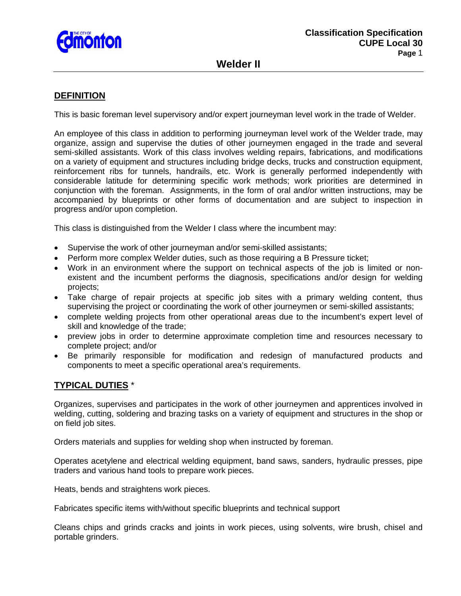

# **Welder II**

## **DEFINITION**

This is basic foreman level supervisory and/or expert journeyman level work in the trade of Welder.

An employee of this class in addition to performing journeyman level work of the Welder trade, may organize, assign and supervise the duties of other journeymen engaged in the trade and several semi-skilled assistants. Work of this class involves welding repairs, fabrications, and modifications on a variety of equipment and structures including bridge decks, trucks and construction equipment, reinforcement ribs for tunnels, handrails, etc. Work is generally performed independently with considerable latitude for determining specific work methods; work priorities are determined in conjunction with the foreman. Assignments, in the form of oral and/or written instructions, may be accompanied by blueprints or other forms of documentation and are subject to inspection in progress and/or upon completion.

This class is distinguished from the Welder I class where the incumbent may:

- Supervise the work of other journeyman and/or semi-skilled assistants;
- Perform more complex Welder duties, such as those requiring a B Pressure ticket;
- Work in an environment where the support on technical aspects of the job is limited or nonexistent and the incumbent performs the diagnosis, specifications and/or design for welding projects;
- Take charge of repair projects at specific job sites with a primary welding content, thus supervising the project or coordinating the work of other journeymen or semi-skilled assistants;
- complete welding projects from other operational areas due to the incumbent's expert level of skill and knowledge of the trade;
- preview jobs in order to determine approximate completion time and resources necessary to complete project; and/or
- Be primarily responsible for modification and redesign of manufactured products and components to meet a specific operational area's requirements.

### **TYPICAL DUTIES** \*

Organizes, supervises and participates in the work of other journeymen and apprentices involved in welding, cutting, soldering and brazing tasks on a variety of equipment and structures in the shop or on field job sites.

Orders materials and supplies for welding shop when instructed by foreman.

Operates acetylene and electrical welding equipment, band saws, sanders, hydraulic presses, pipe traders and various hand tools to prepare work pieces.

Heats, bends and straightens work pieces.

Fabricates specific items with/without specific blueprints and technical support

Cleans chips and grinds cracks and joints in work pieces, using solvents, wire brush, chisel and portable grinders.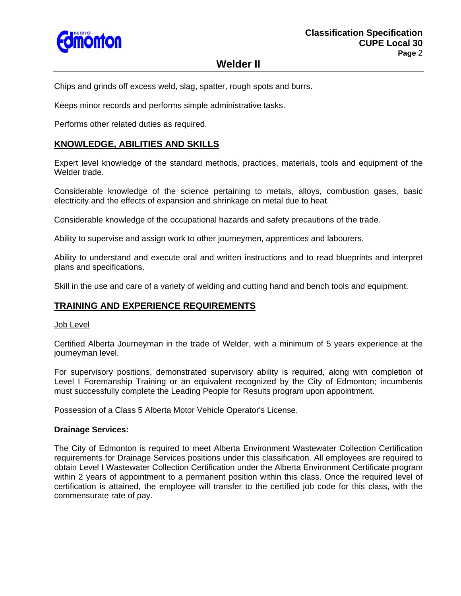

# **Welder II**

Chips and grinds off excess weld, slag, spatter, rough spots and burrs.

Keeps minor records and performs simple administrative tasks.

Performs other related duties as required.

## **KNOWLEDGE, ABILITIES AND SKILLS**

Expert level knowledge of the standard methods, practices, materials, tools and equipment of the Welder trade.

Considerable knowledge of the science pertaining to metals, alloys, combustion gases, basic electricity and the effects of expansion and shrinkage on metal due to heat.

Considerable knowledge of the occupational hazards and safety precautions of the trade.

Ability to supervise and assign work to other journeymen, apprentices and labourers.

Ability to understand and execute oral and written instructions and to read blueprints and interpret plans and specifications.

Skill in the use and care of a variety of welding and cutting hand and bench tools and equipment.

### **TRAINING AND EXPERIENCE REQUIREMENTS**

#### Job Level

Certified Alberta Journeyman in the trade of Welder, with a minimum of 5 years experience at the journeyman level.

For supervisory positions, demonstrated supervisory ability is required, along with completion of Level I Foremanship Training or an equivalent recognized by the City of Edmonton; incumbents must successfully complete the Leading People for Results program upon appointment.

Possession of a Class 5 Alberta Motor Vehicle Operator's License.

#### **Drainage Services:**

The City of Edmonton is required to meet Alberta Environment Wastewater Collection Certification requirements for Drainage Services positions under this classification. All employees are required to obtain Level I Wastewater Collection Certification under the Alberta Environment Certificate program within 2 years of appointment to a permanent position within this class. Once the required level of certification is attained, the employee will transfer to the certified job code for this class, with the commensurate rate of pay.